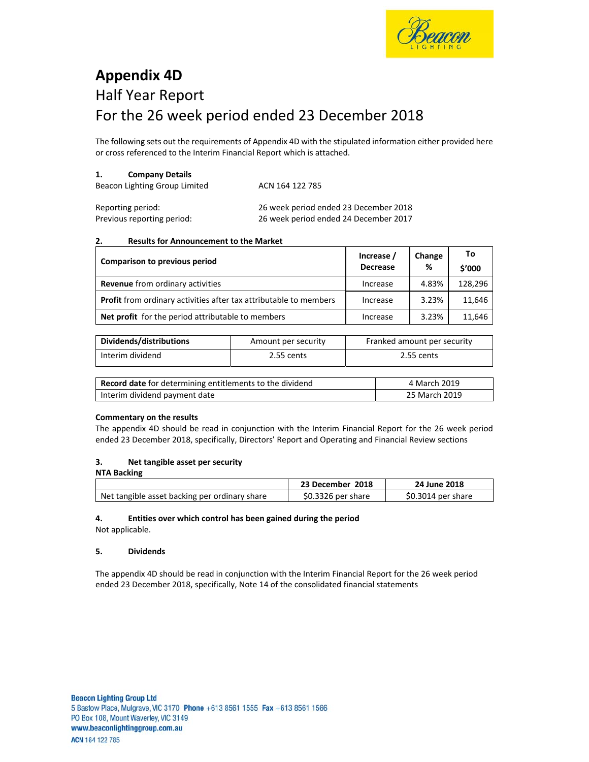

# **Appendix 4D**  Half Year Report For the 26 week period ended 23 December 2018

The following sets out the requirements of Appendix 4D with the stipulated information either provided here or cross referenced to the Interim Financial Report which is attached.

## **1. Company Details**

| Beacon Lighting Group Limited | ACN 164 122 785 |
|-------------------------------|-----------------|
|                               |                 |

| Reporting period:          | 26 week period ended 23 December 2018 |
|----------------------------|---------------------------------------|
| Previous reporting period: | 26 week period ended 24 December 2017 |

#### **2. Results for Announcement to the Market**

| Comparison to previous period                                            | Increase /<br><b>Decrease</b> | Change<br>% | To<br>\$'000 |
|--------------------------------------------------------------------------|-------------------------------|-------------|--------------|
| <b>Revenue</b> from ordinary activities                                  | Increase                      | 4.83%       | 128,296      |
| <b>Profit</b> from ordinary activities after tax attributable to members | Increase                      | 3.23%       | 11,646       |
| <b>Net profit</b> for the period attributable to members                 | Increase                      | 3.23%       | 11,646       |

| Dividends/distributions | Amount per security | Franked amount per security |
|-------------------------|---------------------|-----------------------------|
| Interim dividend        | 2.55 cents          | 2.55 cents                  |

| Record date for determining entitlements to the dividend | 4 March 2019  |
|----------------------------------------------------------|---------------|
| Interim dividend payment date                            | 25 March 2019 |

## **Commentary on the results**

The appendix 4D should be read in conjunction with the Interim Financial Report for the 26 week period ended 23 December 2018, specifically, Directors' Report and Operating and Financial Review sections

## **3. Net tangible asset per security**

| NTA Backing                                   |                    |                    |
|-----------------------------------------------|--------------------|--------------------|
|                                               | 23 December 2018   | 24 June 2018       |
| Net tangible asset backing per ordinary share | \$0.3326 per share | \$0.3014 per share |

# **4. Entities over which control has been gained during the period**

Not applicable.

## **5. Dividends**

The appendix 4D should be read in conjunction with the Interim Financial Report for the 26 week period ended 23 December 2018, specifically, Note 14 of the consolidated financial statements